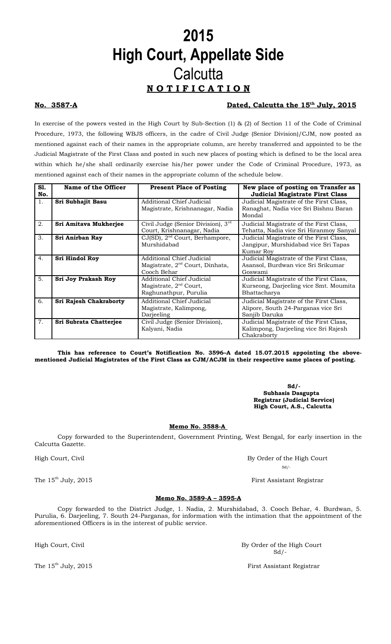# **2015 High Court, Appellate Side Calcutta N O T I F I C A T I O N**

### **No. 3587-A Dated, Calcutta the 15th July, 2015**

In exercise of the powers vested in the High Court by Sub-Section (1) & (2) of Section 11 of the Code of Criminal Procedure, 1973, the following WBJS officers, in the cadre of Civil Judge (Senior Division)/CJM, now posted as mentioned against each of their names in the appropriate column, are hereby transferred and appointed to be the Judicial Magistrate of the First Class and posted in such new places of posting which is defined to be the local area within which he/she shall ordinarily exercise his/her power under the Code of Criminal Procedure, 1973, as mentioned against each of their names in the appropriate column of the schedule below.

| S1.            | Name of the Officer    | <b>Present Place of Posting</b>                                                          | New place of posting on Transfer as                                                               |
|----------------|------------------------|------------------------------------------------------------------------------------------|---------------------------------------------------------------------------------------------------|
| No.            |                        |                                                                                          | <b>Judicial Magistrate First Class</b>                                                            |
| $\mathbf{1}$ . | Sri Subhajit Basu      | Additional Chief Judicial<br>Magistrate, Krishnanagar, Nadia                             | Judicial Magistrate of the First Class,<br>Ranaghat, Nadia vice Sri Bishnu Baran<br>Mondal        |
| 2.             | Sri Amitava Mukherjee  | Civil Judge (Senior Division), 3rd<br>Court, Krishnanagar, Nadia                         | Judicial Magistrate of the First Class,<br>Tehatta, Nadia vice Sri Hiranmoy Sanyal                |
| 3.             | Sri Anirban Ray        | $CJ(SD)$ , $2nd$ Court, Berhampore,<br>Murshidabad                                       | Judicial Magistrate of the First Class,<br>Jangipur, Murshidabad vice Sri Tapas<br>Kumar Rov      |
| 4.             | Sri Hindol Roy         | Additional Chief Judicial<br>Magistrate, 2 <sup>nd</sup> Court, Dinhata,<br>Cooch Behar  | Judicial Magistrate of the First Class,<br>Asansol, Burdwan vice Sri Srikumar<br>Goswami          |
| 5.             | Sri Joy Prakash Roy    | Additional Chief Judicial<br>Magistrate, 2 <sup>nd</sup> Court,<br>Raghunathpur, Purulia | Judicial Magistrate of the First Class,<br>Kurseong, Darjeeling vice Smt. Moumita<br>Bhattacharya |
| 6.             | Sri Rajesh Chakraborty | Additional Chief Judicial<br>Magistrate, Kalimpong,<br>Darjeeling                        | Judicial Magistrate of the First Class,<br>Alipore, South 24-Parganas vice Sri<br>Sanjib Daruka   |
| 7.             | Sri Subrata Chatterjee | Civil Judge (Senior Division),<br>Kalyani, Nadia                                         | Judicial Magistrate of the First Class,<br>Kalimpong, Darjeeling vice Sri Rajesh<br>Chakraborty   |

**This has reference to Court's Notification No. 3596–A dated 15.07.2015 appointing the abovementioned Judicial Magistrates of the First Class as CJM/ACJM in their respective same places of posting.** 

> **Sd/- Subhasis Dasgupta Registrar (Judicial Service) High Court, A.S., Calcutta**

**Memo No. 3588-A** 

Copy forwarded to the Superintendent, Government Printing, West Bengal, for early insertion in the Calcutta Gazette.

High Court, Civil By Order of the High Court

The 15<sup>th</sup> July, 2015 **First Assistant Registrar** 

**Memo No. 3589-A – 3595-A**

 $Sd/$ 

Copy forwarded to the District Judge, 1. Nadia, 2. Murshidabad, 3. Cooch Behar, 4. Burdwan, 5. Purulia, 6. Darjeeling, 7. South 24-Parganas, for information with the intimation that the appointment of the aforementioned Officers is in the interest of public service.

High Court, Civil By Order of the High Court By Order of the High Court Sd/- $Sd/$ 

The  $15<sup>th</sup>$  July, 2015  $\qquad \qquad$  First Assistant Registrar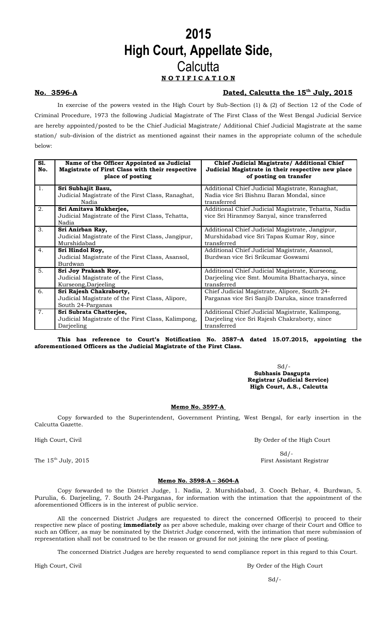# **2015 High Court, Appellate Side, Calcutta N O T I F I C A T I O N**

### **No. 3596-A Dated, Calcutta the 15th July, 2015**

In exercise of the powers vested in the High Court by Sub-Section (1) & (2) of Section 12 of the Code of Criminal Procedure, 1973 the following Judicial Magistrate of The First Class of the West Bengal Judicial Service are hereby appointed/posted to be the Chief Judicial Magistrate/ Additional Chief Judicial Magistrate at the same station/ sub-division of the district as mentioned against their names in the appropriate column of the schedule below:

| SI.<br>No.     | Name of the Officer Appointed as Judicial<br>Magistrate of First Class with their respective<br>place of posting | Chief Judicial Magistrate/ Additional Chief<br>Judicial Magistrate in their respective new place<br>of posting on transfer |
|----------------|------------------------------------------------------------------------------------------------------------------|----------------------------------------------------------------------------------------------------------------------------|
| $\mathbf{1}$ . | Sri Subhajit Basu,<br>Judicial Magistrate of the First Class, Ranaghat,<br>Nadia                                 | Additional Chief Judicial Magistrate, Ranaghat,<br>Nadia vice Sri Bishnu Baran Mondal, since<br>transferred                |
| 2.             | Sri Amitava Mukherjee,<br>Judicial Magistrate of the First Class, Tehatta,<br>Nadia                              | Additional Chief Judicial Magistrate, Tehatta, Nadia<br>vice Sri Hiranmoy Sanyal, since transferred                        |
| 3.             | Sri Anirban Ray,<br>Judicial Magistrate of the First Class, Jangipur,<br>Murshidabad                             | Additional Chief Judicial Magistrate, Jangipur,<br>Murshidabad vice Sri Tapas Kumar Roy, since<br>transferred              |
| 4.             | Sri Hindol Roy,<br>Judicial Magistrate of the First Class, Asansol,<br>Burdwan                                   | Additional Chief Judicial Magistrate, Asansol,<br>Burdwan vice Sri Srikumar Goswami                                        |
| 5.             | Sri Joy Prakash Roy,<br>Judicial Magistrate of the First Class,<br>Kurseong, Darjeeling                          | Additional Chief Judicial Magistrate, Kurseong,<br>Darjeeling vice Smt. Moumita Bhattacharya, since<br>transferred         |
| 6.             | Sri Rajesh Chakraborty,<br>Judicial Magistrate of the First Class, Alipore,<br>South 24-Parganas                 | Chief Judicial Magistrate, Alipore, South 24-<br>Parganas vice Sri Sanjib Daruka, since transferred                        |
| 7 <sub>1</sub> | Sri Subrata Chatterjee,<br>Judicial Magistrate of the First Class, Kalimpong,<br>Darjeeling                      | Additional Chief Judicial Magistrate, Kalimpong,<br>Darjeeling vice Sri Rajesh Chakraborty, since<br>transferred           |

**This has reference to Court's Notification No. 3587–A dated 15.07.2015, appointing the aforementioned Officers as the Judicial Magistrate of the First Class.** 

> $Sd$  /- **Subhasis Dasgupta Registrar (Judicial Service) High Court, A.S., Calcutta**

### **Memo No. 3597-A**

Copy forwarded to the Superintendent, Government Printing, West Bengal, for early insertion in the Calcutta Gazette.

High Court, Civil By Order of the High Court

**Memo No. 3598-A – 3604-A**

Copy forwarded to the District Judge, 1. Nadia, 2. Murshidabad, 3. Cooch Behar, 4. Burdwan, 5. Purulia, 6. Darjeeling, 7. South 24-Parganas, for information with the intimation that the appointment of the aforementioned Officers is in the interest of public service.

All the concerned District Judges are requested to direct the concerned Officer(s) to proceed to their respective new place of posting **immediately** as per above schedule, making over charge of their Court and Office to such an Officer, as may be nominated by the District Judge concerned, with the intimation that mere submission of representation shall not be construed to be the reason or ground for not joining the new place of posting.

The concerned District Judges are hereby requested to send compliance report in this regard to this Court.

High Court, Civil By Order of the High Court

 $Sd/$ 

## $Sd/$ The 15<sup>th</sup> July, 2015 **First Assistant Registrar**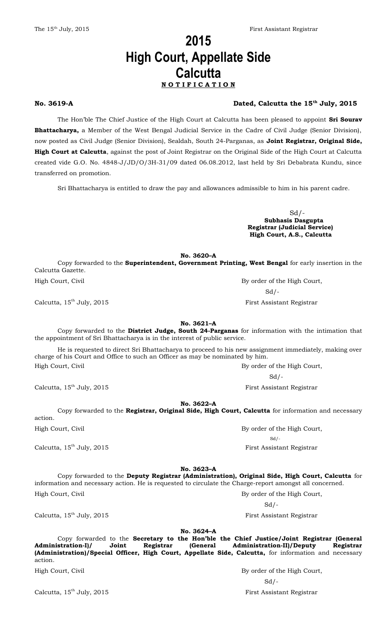# **2015 High Court, Appellate Side Calcutta N O T I F I C A T I O N**

### **No. 3619-A Dated, Calcutta the 15th July, 2015**

The Hon'ble The Chief Justice of the High Court at Calcutta has been pleased to appoint **Sri Sourav Bhattacharya,** a Member of the West Bengal Judicial Service in the Cadre of Civil Judge (Senior Division), now posted as Civil Judge (Senior Division), Sealdah, South 24-Parganas, as **Joint Registrar, Original Side, High Court at Calcutta**, against the post of Joint Registrar on the Original Side of the High Court at Calcutta created vide G.O. No. 4848-J/JD/O/3H-31/09 dated 06.08.2012, last held by Sri Debabrata Kundu, since transferred on promotion.

Sri Bhattacharya is entitled to draw the pay and allowances admissible to him in his parent cadre.

 $Sd/$ **Subhasis Dasgupta Registrar (Judicial Service) High Court, A.S., Calcutta**

**No. 3620–A**

Copy forwarded to the **Superintendent, Government Printing, West Bengal** for early insertion in the Calcutta Gazette. High Court, Civil By order of the High Court, Civil

 $Sd/$ 

Calcutta, 15<sup>th</sup> July, 2015 **First Assistant Registrar** 

**No. 3621–A**

Copy forwarded to the **District Judge, South 24-Parganas** for information with the intimation that the appointment of Sri Bhattacharya is in the interest of public service.

He is requested to direct Sri Bhattacharya to proceed to his new assignment immediately, making over charge of his Court and Office to such an Officer as may be nominated by him. High Court, Civil By order of the High Court, Civil

 $Sd/$ 

 $Sd$  /-

Calcutta, 15<sup>th</sup> July, 2015 **First Assistant Registrar** 

**No. 3622–A**

Copy forwarded to the **Registrar, Original Side, High Court, Calcutta** for information and necessary action.

High Court, Civil By order of the High Court, Civil

Calcutta, 15<sup>th</sup> July, 2015 **First Assistant Registrar** 

**No. 3623–A**

Copy forwarded to the **Deputy Registrar (Administration), Original Side, High Court, Calcutta** for information and necessary action. He is requested to circulate the Charge-report amongst all concerned. High Court, Civil By order of the High Court,

 $Sd$ /-

Calcutta, 15<sup>th</sup> July, 2015 **First Assistant Registrar** 

**No. 3624–A** Copy forwarded to the **Secretary to the Hon'ble the Chief Justice/Joint Registrar (General Administration-I)/ Joint Registrar (General Administration-II)/Deputy Registrar (Administration)/Special Officer, High Court, Appellate Side, Calcutta,** for information and necessary action.

Calcutta, 15<sup>th</sup> July, 2015 **First Assistant Registrar** 

High Court, Civil By order of the High Court, Civil

 $Sd/$ -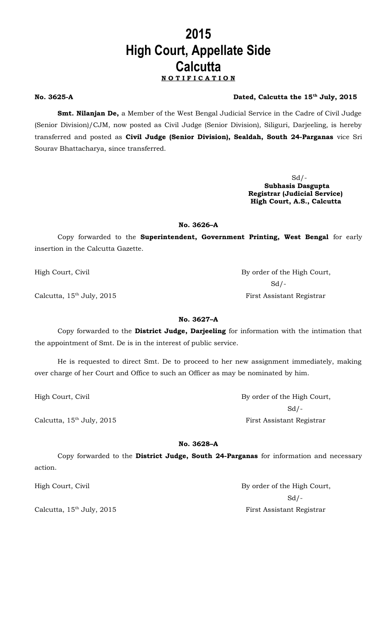# **2015 High Court, Appellate Side Calcutta N O T I F I C A T I O N**

### **No. 3625-A Dated, Calcutta the 15th July, 2015**

**Smt. Nilanjan De,** a Member of the West Bengal Judicial Service in the Cadre of Civil Judge (Senior Division)/CJM, now posted as Civil Judge (Senior Division), Siliguri, Darjeeling, is hereby transferred and posted as **Civil Judge (Senior Division), Sealdah, South 24-Parganas** vice Sri Sourav Bhattacharya, since transferred.

> $Sd$  /-**Subhasis Dasgupta Registrar (Judicial Service) High Court, A.S., Calcutta**

### **No. 3626–A**

Copy forwarded to the **Superintendent, Government Printing, West Bengal** for early insertion in the Calcutta Gazette.

High Court, Civil **By order of the High Court**,

 $Sd$  /-Calcutta, 15<sup>th</sup> July, 2015 **First Assistant Registrar** 

## **No. 3627–A**

Copy forwarded to the **District Judge, Darjeeling** for information with the intimation that the appointment of Smt. De is in the interest of public service.

He is requested to direct Smt. De to proceed to her new assignment immediately, making over charge of her Court and Office to such an Officer as may be nominated by him.

High Court, Civil By order of the High Court,

Calcutta, 15<sup>th</sup> July, 2015 **First Assistant Registrar** 

**No. 3628–A**

Copy forwarded to the **District Judge, South 24-Parganas** for information and necessary action.

High Court, Civil By order of the High Court,  $Sd$  /-Calcutta, 15<sup>th</sup> July, 2015 **First Assistant Registrar** 

 $Sd$  /-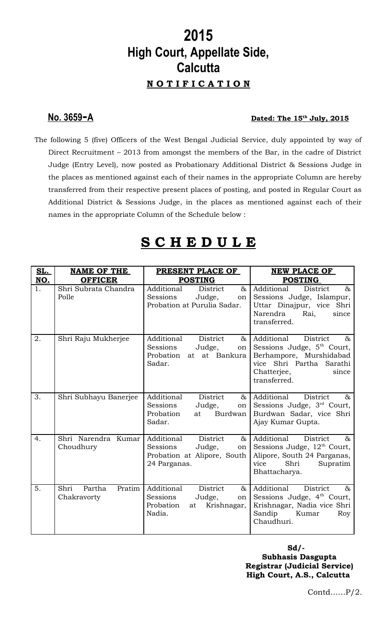# **2015 High Court, Appellate Side, Calcutta N O T I F I C A T I O N**

# **No. 3659 - A Dated: The 15th July, 2015**

The following 5 (five) Officers of the West Bengal Judicial Service, duly appointed by way of Direct Recruitment – 2013 from amongst the members of the Bar, in the cadre of District Judge (Entry Level), now posted as Probationary Additional District & Sessions Judge in the places as mentioned against each of their names in the appropriate Column are hereby transferred from their respective present places of posting, and posted in Regular Court as Additional District & Sessions Judge, in the places as mentioned against each of their names in the appropriate Column of the Schedule below :

# **S C H E D U L E**

| <b>SL.</b> | NAME OF THE                             | PRESENT PLACE OF                                                                                                     | NEW PLACE OF                                                                                                                                                         |
|------------|-----------------------------------------|----------------------------------------------------------------------------------------------------------------------|----------------------------------------------------------------------------------------------------------------------------------------------------------------------|
| NO.        | <b>OFFICER</b>                          | <b>POSTING</b>                                                                                                       | <b>POSTING</b>                                                                                                                                                       |
| 1.         | Shri Subrata Chandra<br>Polle           | Additional<br>District<br>$\&$<br>Sessions<br>Judge,<br>on<br>Probation at Purulia Sadar.                            | Additional<br>District<br>$\&$<br>Sessions Judge, Islampur,<br>Uttar Dinajpur, vice Shri<br>Narendra<br>Rai,<br>since<br>transferred.                                |
| 2.         | Shri Raju Mukherjee                     | Additional<br>District<br>&<br>Sessions<br>Judge,<br>on <sub>1</sub><br>Probation<br>at at Bankura<br>Sadar.         | Additional<br>District<br>&<br>Sessions Judge, 5 <sup>th</sup> Court,<br>Berhampore, Murshidabad<br>vice Shri Partha Sarathi<br>Chatterjee,<br>since<br>transferred. |
| 3.         | Shri Subhayu Banerjee                   | Additional<br>District<br>$\alpha$<br>Sessions<br>Judge,<br>$\circ$ n<br>Burdwan<br>Probation<br>at<br>Sadar.        | Additional<br>District<br>&<br>Sessions Judge, 3 <sup>rd</sup> Court,<br>Burdwan Sadar, vice Shri<br>Ajay Kumar Gupta.                                               |
| 4.         | Shri Narendra Kumar<br>Choudhury        | Additional<br>District<br>$\infty$<br>Sessions<br>Judge,<br>$\circ$ n<br>Probation at Alipore, South<br>24 Parganas. | Additional<br>District<br>$\&$<br>Sessions Judge, 12 <sup>th</sup> Court,<br>Alipore, South 24 Parganas,<br>Shri<br>Supratim<br>vice<br>Bhattacharya.                |
| 5.         | Shri<br>Pratim<br>Partha<br>Chakravorty | <b>District</b><br>Additional<br>$\&$<br>Sessions<br>Judge,<br>on<br>Probation<br>Krishnagar,<br>at<br>Nadia.        | Additional<br>District<br>$\&$<br>Sessions Judge, 4 <sup>th</sup> Court,<br>Krishnagar, Nadia vice Shri<br>Sandip<br>Kumar<br>Roy<br>Chaudhuri.                      |

**Sd/- Subhasis Dasgupta Registrar (Judicial Service) High Court, A.S., Calcutta**

Contd……P/2.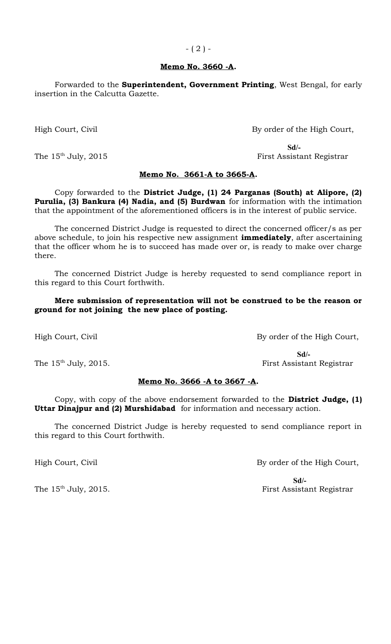### **Memo No. 3660 -A.**

Forwarded to the **Superintendent, Government Printing**, West Bengal, for early insertion in the Calcutta Gazette.

High Court, Civil By order of the High Court,

**Sd/-** The 15<sup>th</sup> July, 2015 **First Assistant Registrar** 

### **Memo No. 3661-A to 3665-A.**

Copy forwarded to the **District Judge, (1) 24 Parganas (South) at Alipore, (2) Purulia, (3) Bankura (4) Nadia, and (5) Burdwan** for information with the intimation that the appointment of the aforementioned officers is in the interest of public service.

The concerned District Judge is requested to direct the concerned officer/s as per above schedule, to join his respective new assignment **immediately**, after ascertaining that the officer whom he is to succeed has made over or, is ready to make over charge there.

The concerned District Judge is hereby requested to send compliance report in this regard to this Court forthwith.

## **Mere submission of representation will not be construed to be the reason or ground for not joining the new place of posting.**

High Court, Civil By order of the High Court,

 **Sd/-** The 15<sup>th</sup> July, 2015. The 15<sup>th</sup> July, 2015.

## **Memo No. 3666 -A to 3667 -A.**

Copy, with copy of the above endorsement forwarded to the **District Judge, (1) Uttar Dinajpur and (2) Murshidabad** for information and necessary action.

The concerned District Judge is hereby requested to send compliance report in this regard to this Court forthwith.

High Court, Civil By order of the High Court,

 **Sd/-** The 15<sup>th</sup> July, 2015. The 15<sup>th</sup> July, 2015.